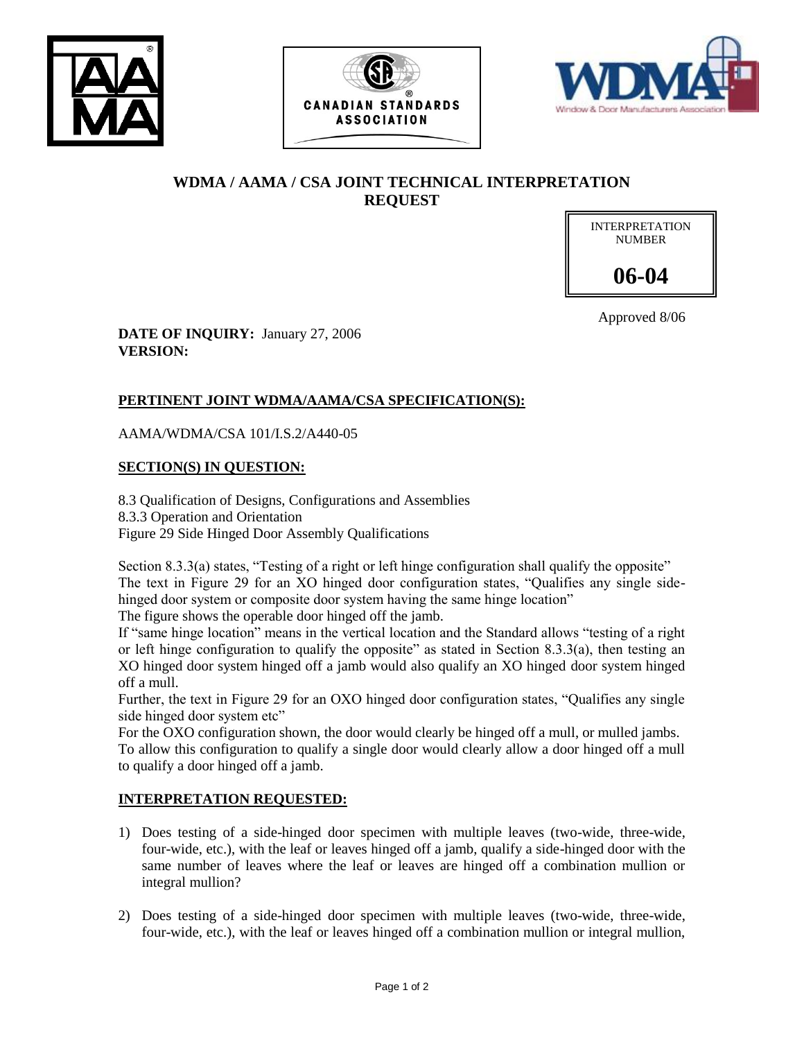





# **WDMA / AAMA / CSA JOINT TECHNICAL INTERPRETATION REQUEST**

INTERPRETATION NUMBER **06-04**

Approved 8/06

**DATE OF INQUIRY:** January 27, 2006 **VERSION:**

## **PERTINENT JOINT WDMA/AAMA/CSA SPECIFICATION(S):**

AAMA/WDMA/CSA 101/I.S.2/A440-05

## **SECTION(S) IN QUESTION:**

8.3 Qualification of Designs, Configurations and Assemblies 8.3.3 Operation and Orientation Figure 29 Side Hinged Door Assembly Qualifications

Section 8.3.3(a) states, "Testing of a right or left hinge configuration shall qualify the opposite" The text in Figure 29 for an XO hinged door configuration states, "Qualifies any single sidehinged door system or composite door system having the same hinge location" The figure shows the operable door hinged off the jamb.

If "same hinge location" means in the vertical location and the Standard allows "testing of a right or left hinge configuration to qualify the opposite" as stated in Section 8.3.3(a), then testing an XO hinged door system hinged off a jamb would also qualify an XO hinged door system hinged off a mull.

Further, the text in Figure 29 for an OXO hinged door configuration states, "Qualifies any single side hinged door system etc"

For the OXO configuration shown, the door would clearly be hinged off a mull, or mulled jambs. To allow this configuration to qualify a single door would clearly allow a door hinged off a mull to qualify a door hinged off a jamb.

## **INTERPRETATION REQUESTED:**

- 1) Does testing of a side-hinged door specimen with multiple leaves (two-wide, three-wide, four-wide, etc.), with the leaf or leaves hinged off a jamb, qualify a side-hinged door with the same number of leaves where the leaf or leaves are hinged off a combination mullion or integral mullion?
- 2) Does testing of a side-hinged door specimen with multiple leaves (two-wide, three-wide, four-wide, etc.), with the leaf or leaves hinged off a combination mullion or integral mullion,